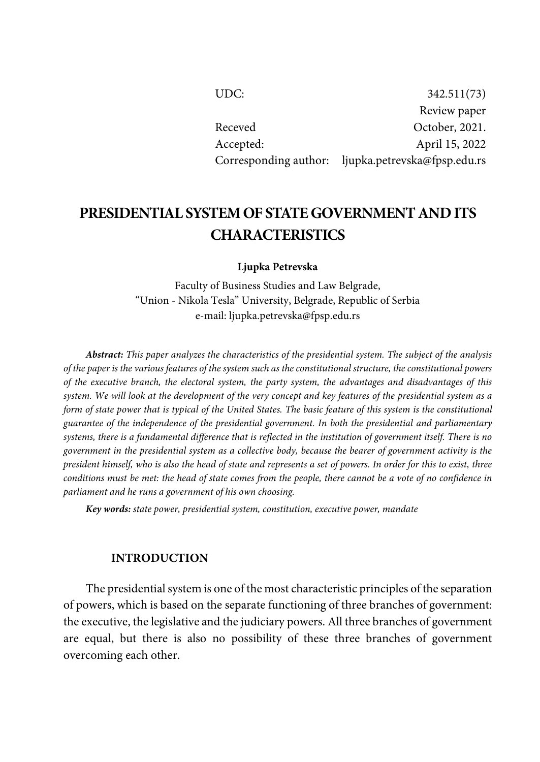| UDC:      | 342.511(73)                                        |
|-----------|----------------------------------------------------|
|           | Review paper                                       |
| Receved   | October, 2021.                                     |
| Accepted: | April 15, 2022                                     |
|           | Corresponding author: ljupka.petrevska@fpsp.edu.rs |

# **PRESIDENTIAL SYSTEMOF STATEGOVERNMENT ANDITS CHARACTERISTICS**

**Ljupka Petrevska**

Faculty of Business Studies and Law Belgrade, "Union - Nikola Tesla" University, Belgrade, Republic of Serbia e-mail: ljupka.petrevska@fpsp.edu.rs

*Abstract: This paper analyzes the characteristics of the presidential system. The subject of the analysis* of the paper is the various features of the system such as the constitutional structure, the constitutional powers *of the executive branch, the electoral system, the party system, the advantages and disadvantages of this* system. We will look at the development of the very concept and key features of the presidential system as a form of state power that is typical of the United States. The basic feature of this system is the constitutional *guarantee of the independence of the presidential government. In both the presidential and parliamentary* systems, there is a fundamental difference that is reflected in the institution of government itself. There is no government in the presidential system as a collective body, because the bearer of government activity is the president himself, who is also the head of state and represents a set of powers. In order for this to exist, three conditions must be met: the head of state comes from the people, there cannot be a vote of no confidence in *parliament and he runs a government of his own choosing.*

*Key words: state power, presidential system, constitution, executive power, mandate*

#### **INTRODUCTION**

The presidential system is one of the most characteristic principles of the separation of powers, which is based on the separate functioning of three branches of government: the executive, the legislative and the judiciary powers. All three branches of government are equal, but there is also no possibility of these three branches of government overcoming each other.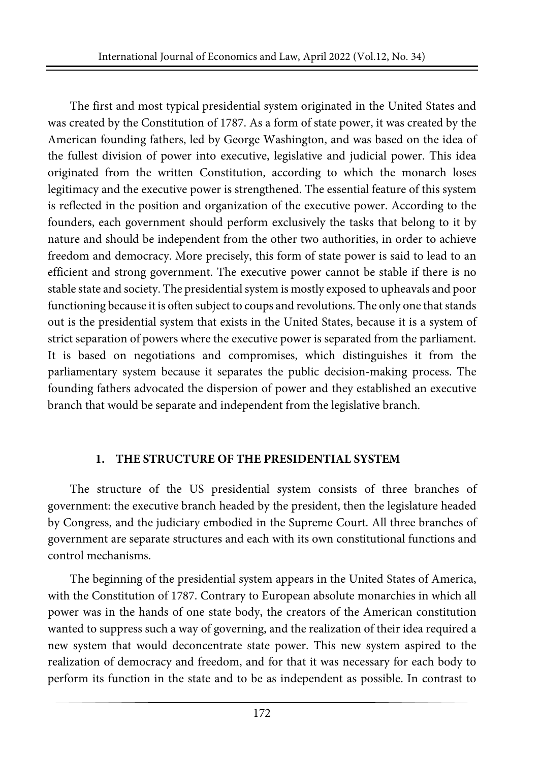The first and most typical presidential system originated in the United States and was created by the Constitution of 1787. As a form of state power, it was created by the American founding fathers, led by George Washington, and was based on the idea of the fullest division of power into executive, legislative and judicial power. This idea originated from the written Constitution, according to which the monarch loses legitimacy and the executive power is strengthened. The essential feature of this system is reflected in the position and organization of the executive power. According to the founders, each government should perform exclusively the tasks that belong to it by nature and should be independent from the other two authorities, in order to achieve freedom and democracy. More precisely, this form of state power is said to lead to an efficient and strong government. The executive power cannot be stable if there is no stable state and society. The presidentialsystem is mostly exposed to upheavals and poor functioning because it is often subject to coups and revolutions. The only one that stands out is the presidential system that exists in the United States, because it is a system of strict separation of powers where the executive power is separated from the parliament. It is based on negotiations and compromises, which distinguishes it from the parliamentary system because it separates the public decision-making process. The founding fathers advocated the dispersion of power and they established an executive branch that would be separate and independent from the legislative branch.

### **1. THE STRUCTURE OF THE PRESIDENTIAL SYSTEM**

The structure of the US presidential system consists of three branches of government: the executive branch headed by the president, then the legislature headed by Congress, and the judiciary embodied in the Supreme Court. All three branches of government are separate structures and each with its own constitutional functions and control mechanisms.

The beginning of the presidential system appears in the United States of America, with the Constitution of 1787. Contrary to European absolute monarchies in which all power was in the hands of one state body, the creators of the American constitution wanted to suppress such a way of governing, and the realization of their idea required a new system that would deconcentrate state power. This new system aspired to the realization of democracy and freedom, and for that it was necessary for each body to perform its function in the state and to be as independent as possible. In contrast to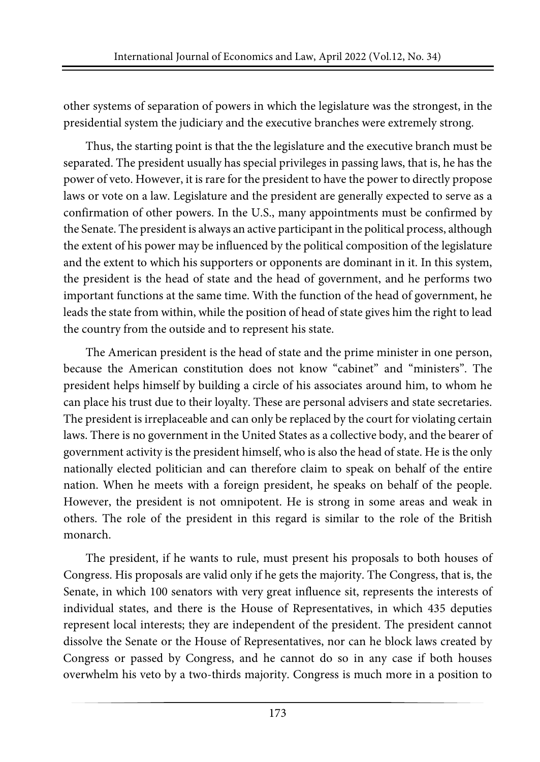other systems of separation of powers in which the legislature was the strongest, in the presidential system the judiciary and the executive branches were extremely strong.

Thus, the starting point is that the the legislature and the executive branch must be separated. The president usually has special privileges in passing laws, that is, he has the power of veto. However, it is rare for the president to have the powerto directly propose laws or vote on a law. Legislature and the president are generally expected to serve as a confirmation of other powers. In the U.S., many appointments must be confirmed by the Senate. The president is always an active participant in the political process, although the extent of his power may be influenced by the political composition of the legislature and the extent to which his supporters or opponents are dominant in it. In this system, the president is the head of state and the head of government, and he performs two important functions at the same time. With the function of the head of government, he leads the state from within, while the position of head of state gives him the right to lead the country from the outside and to represent his state.

The American president is the head of state and the prime minister in one person, because the American constitution does not know "cabinet" and "ministers". The president helps himself by building a circle of his associates around him, to whom he can place his trust due to their loyalty. These are personal advisers and state secretaries. The president is irreplaceable and can only be replaced by the court for violating certain laws. There is no government in the United States as a collective body, and the bearer of government activity is the president himself, who is also the head of state. He is the only nationally elected politician and can therefore claim to speak on behalf of the entire nation. When he meets with a foreign president, he speaks on behalf of the people. However, the president is not omnipotent. He is strong in some areas and weak in others. The role of the president in this regard is similar to the role of the British monarch.

The president, if he wants to rule, must present his proposals to both houses of Congress. His proposals are valid only if he gets the majority. The Congress, that is, the Senate, in which 100 senators with very great influence sit, represents the interests of individual states, and there is the House of Representatives, in which 435 deputies represent local interests; they are independent of the president. The president cannot dissolve the Senate or the House of Representatives, nor can he block laws created by Congress or passed by Congress, and he cannot do so in any case if both houses overwhelm his veto by a two-thirds majority. Congress is much more in a position to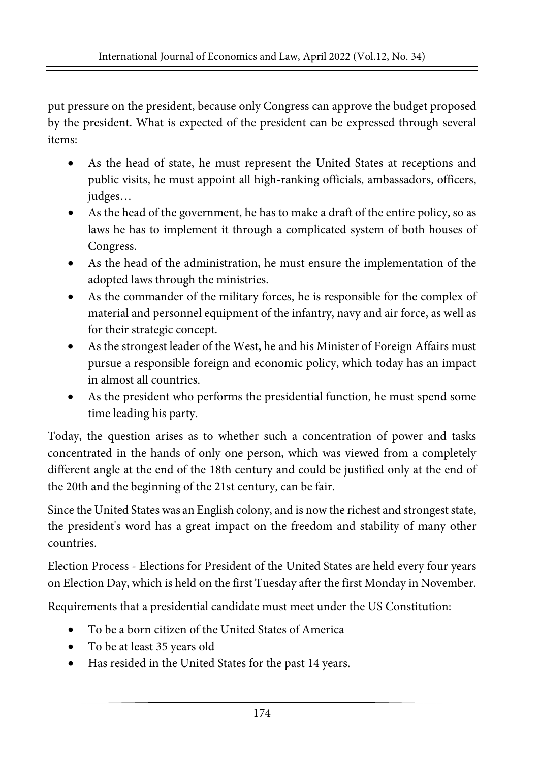put pressure on the president, because only Congress can approve the budget proposed by the president. What is expected of the president can be expressed through several items:

- As the head of state, he must represent the United States at receptions and public visits, he must appoint all high-ranking officials, ambassadors, officers, judges…
- As the head of the government, he has to make a draft of the entire policy, so as laws he has to implement it through a complicated system of both houses of Congress.
- As the head of the administration, he must ensure the implementation of the adopted laws through the ministries.
- As the commander of the military forces, he is responsible for the complex of material and personnel equipment of the infantry, navy and air force, as well as for their strategic concept.
- As the strongest leader of the West, he and his Minister of Foreign Affairs must pursue a responsible foreign and economic policy, which today has an impact in almost all countries.
- As the president who performs the presidential function, he must spend some time leading his party.

Today, the question arises as to whether such a concentration of power and tasks concentrated in the hands of only one person, which was viewed from a completely different angle at the end of the 18th century and could be justified only at the end of the 20th and the beginning of the 21st century, can be fair.

Since the United States was an English colony, and is now the richest and strongeststate, the president's word has a great impact on the freedom and stability of many other countries.

Election Process - Elections for President of the United States are held every four years on Election Day, which is held on the first Tuesday after the first Monday in November.

Requirements that a presidential candidate must meet under the US Constitution:

- To be a born citizen of the United States of America
- To be at least 35 years old
- Has resided in the United States for the past 14 years.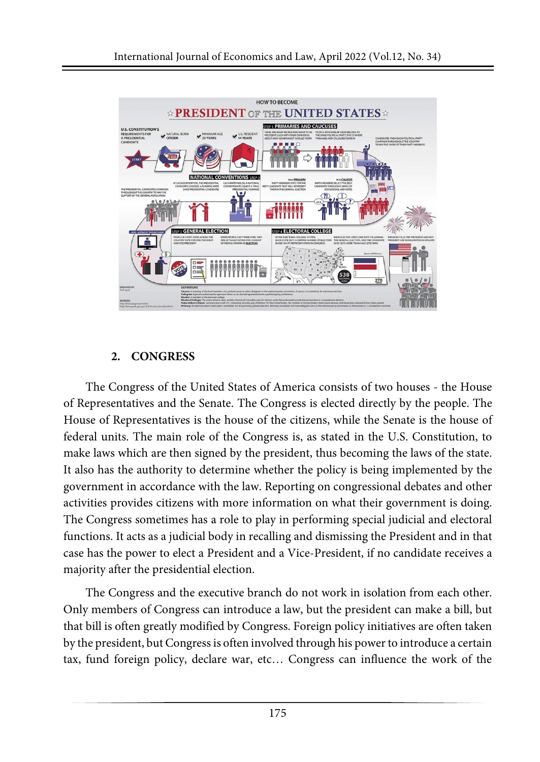

# **2. CONGRESS**

The Congress of the United States of America consists of two houses - the House of Representatives and the Senate. The Congress is elected directly by the people. The House of Representatives is the house of the citizens, while the Senate is the house of federal units. The main role of the Congress is, as stated in the U.S. Constitution, to make laws which are then signed by the president, thus becoming the laws of the state. It also has the authority to determine whether the policy is being implemented by the government in accordance with the law. Reporting on congressional debates and other activities provides citizens with more information on what their government is doing. The Congress sometimes has a role to play in performing special judicial and electoral functions. It acts as a judicial body in recalling and dismissing the President and in that case has the power to elect a President and a Vice-President, if no candidate receives a majority after the presidential election.

The Congress and the executive branch do not work in isolation from each other. Only members of Congress can introduce a law, but the president can make a bill, but that bill is often greatly modified by Congress. Foreign policy initiatives are often taken by the president, but Congressis often involved through his powerto introduce a certain tax, fund foreign policy, declare war, etc… Congress can influence the work of the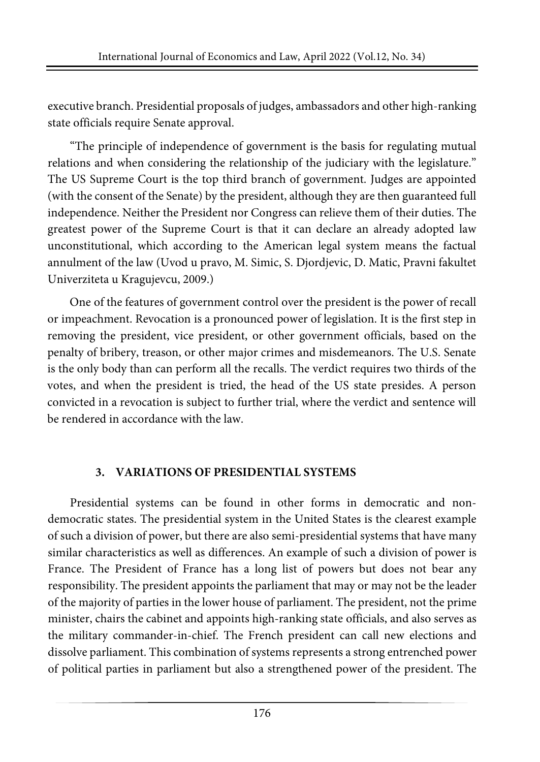executive branch. Presidential proposals of judges, ambassadors and other high-ranking state officials require Senate approval.

"The principle of independence of government is the basis for regulating mutual relations and when considering the relationship of the judiciary with the legislature." The US Supreme Court is the top third branch of government. Judges are appointed (with the consent of the Senate) by the president, although they are then guaranteed full independence. Neither the President nor Congress can relieve them of their duties. The greatest power of the Supreme Court is that it can declare an already adopted law unconstitutional, which according to the American legal system means the factual annulment of the law (Uvod u pravo, M. Simic, S. Djordjevic, D. Matic, Pravni fakultet Univerziteta u Kragujevcu, 2009.)

One of the features of government control over the president is the power of recall or impeachment. Revocation is a pronounced power of legislation. It is the first step in removing the president, vice president, or other government officials, based on the penalty of bribery, treason, or other major crimes and misdemeanors. The U.S. Senate is the only body than can perform all the recalls. The verdict requires two thirds of the votes, and when the president is tried, the head of the US state presides. A person convicted in a revocation is subject to further trial, where the verdict and sentence will be rendered in accordance with the law.

### **3. VARIATIONS OF PRESIDENTIAL SYSTEMS**

Presidential systems can be found in other forms in democratic and nondemocratic states. The presidential system in the United States is the clearest example of such a division of power, but there are also semi-presidential systems that have many similar characteristics as well as differences. An example of such a division of power is France. The President of France has a long list of powers but does not bear any responsibility. The president appoints the parliament that may or may not be the leader of the majority of parties in the lower house of parliament. The president, not the prime minister, chairs the cabinet and appoints high-ranking state officials, and also serves as the military commander-in-chief. The French president can call new elections and dissolve parliament. This combination of systems represents a strong entrenched power of political parties in parliament but also a strengthened power of the president. The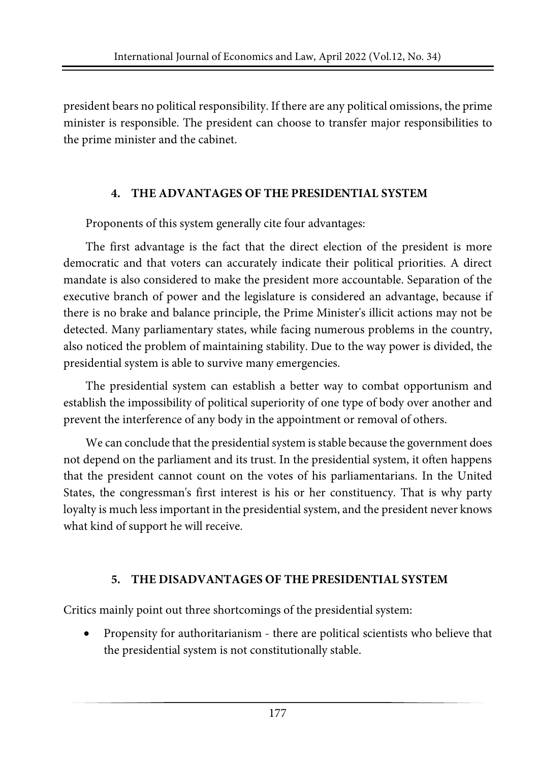president bears no political responsibility. If there are any political omissions, the prime minister is responsible. The president can choose to transfer major responsibilities to the prime minister and the cabinet.

### **4. THE ADVANTAGES OF THE PRESIDENTIAL SYSTEM**

Proponents of this system generally cite four advantages:

The first advantage is the fact that the direct election of the president is more democratic and that voters can accurately indicate their political priorities. A direct mandate is also considered to make the president more accountable. Separation of the executive branch of power and the legislature is considered an advantage, because if there is no brake and balance principle, the Prime Minister's illicit actions may not be detected. Many parliamentary states, while facing numerous problems in the country, also noticed the problem of maintaining stability. Due to the way power is divided, the presidential system is able to survive many emergencies.

The presidential system can establish a better way to combat opportunism and establish the impossibility of political superiority of one type of body over another and prevent the interference of any body in the appointment or removal of others.

We can conclude that the presidential system is stable because the government does not depend on the parliament and its trust. In the presidential system, it often happens that the president cannot count on the votes of his parliamentarians. In the United States, the congressman's first interest is his or her constituency. That is why party loyalty is much less important in the presidential system, and the president never knows what kind of support he will receive.

### **5. THE DISADVANTAGES OF THE PRESIDENTIAL SYSTEM**

Critics mainly point out three shortcomings of the presidential system:

• Propensity for authoritarianism - there are political scientists who believe that the presidential system is not constitutionally stable.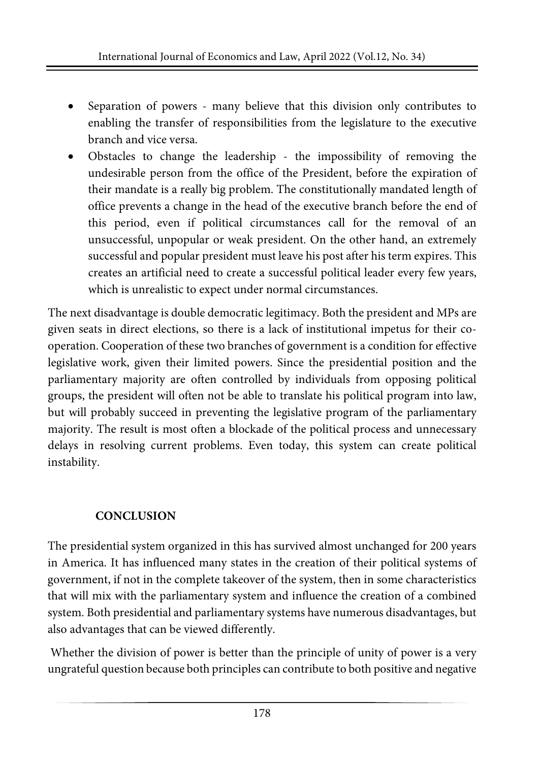- Separation of powers many believe that this division only contributes to enabling the transfer of responsibilities from the legislature to the executive branch and vice versa.
- Obstacles to change the leadership the impossibility of removing the undesirable person from the office of the President, before the expiration of their mandate is a really big problem. The constitutionally mandated length of office prevents a change in the head of the executive branch before the end of this period, even if political circumstances call for the removal of an unsuccessful, unpopular or weak president. On the other hand, an extremely successful and popular president must leave his post after his term expires. This creates an artificial need to create a successful political leader every few years, which is unrealistic to expect under normal circumstances.

The next disadvantage is double democratic legitimacy. Both the president and MPs are given seats in direct elections, so there is a lack of institutional impetus for their cooperation. Cooperation of these two branches of government is a condition for effective legislative work, given their limited powers. Since the presidential position and the parliamentary majority are often controlled by individuals from opposing political groups, the president will often not be able to translate his political program into law, but will probably succeed in preventing the legislative program of the parliamentary majority. The result is most often a blockade of the political process and unnecessary delays in resolving current problems. Even today, this system can create political instability.

# **CONCLUSION**

The presidential system organized in this has survived almost unchanged for 200 years in America. It has influenced many states in the creation of their political systems of government, if not in the complete takeover of the system, then in some characteristics that will mix with the parliamentary system and influence the creation of a combined system. Both presidential and parliamentary systems have numerous disadvantages, but also advantages that can be viewed differently.

Whether the division of power is better than the principle of unity of power is a very ungrateful question because both principles can contribute to both positive and negative